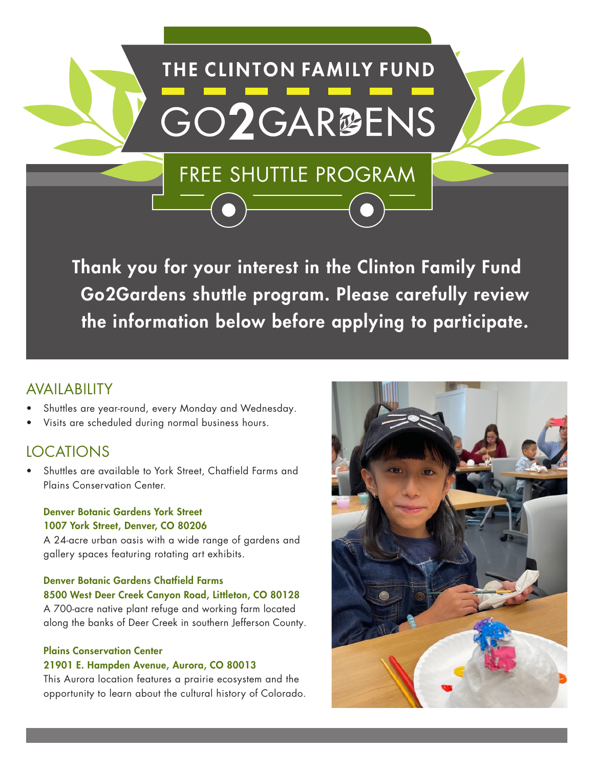# **THE CLINTON FAMILY FUND** GO2GAR<sup>®ENS</sup>

FREE SHUTTLE PROGRAM

Thank you for your interest in the Clinton Family Fund Go2Gardens shuttle program. Please carefully review the information below before applying to participate.

#### AVAILABILITY

- Shuttles are year-round, every Monday and Wednesday.
- Visits are scheduled during normal business hours.

#### LOCATIONS

Shuttles are available to York Street, Chatfield Farms and Plains Conservation Center.

#### Denver Botanic Gardens York Street 1007 York Street, Denver, CO 80206

A 24-acre urban oasis with a wide range of gardens and gallery spaces featuring rotating art exhibits.

#### Denver Botanic Gardens Chatfield Farms

8500 West Deer Creek Canyon Road, Littleton, CO 80128

A 700-acre native plant refuge and working farm located along the banks of Deer Creek in southern Jefferson County.

#### Plains Conservation Center 21901 E. Hampden Avenue, Aurora, CO 80013

This Aurora location features a prairie ecosystem and the opportunity to learn about the cultural history of Colorado.